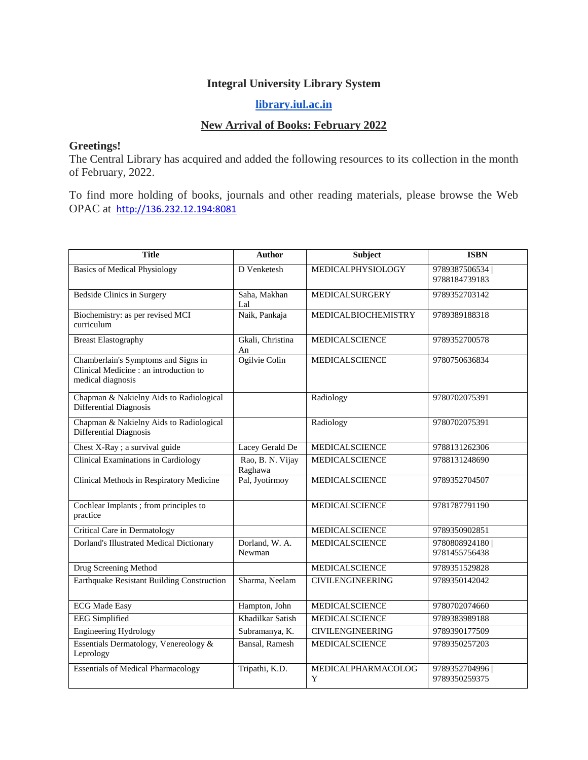## **Integral University Library System**

## **[library.iul.ac.in](http://library.iul.ac.in/)**

## **New Arrival of Books: February 2022**

## **Greetings!**

The Central Library has acquired and added the following resources to its collection in the month of February, 2022.

To find more holding of books, journals and other reading materials, please browse the Web OPAC at [http://136.232.12.194:8081](http://136.232.12.194:8081/)

| <b>Title</b>                                                                                       | Author                      | Subject                  | <b>ISBN</b>                    |
|----------------------------------------------------------------------------------------------------|-----------------------------|--------------------------|--------------------------------|
| <b>Basics of Medical Physiology</b>                                                                | D Venketesh                 | <b>MEDICALPHYSIOLOGY</b> | 9789387506534<br>9788184739183 |
| <b>Bedside Clinics in Surgery</b>                                                                  | Saha, Makhan<br>Lal         | MEDICALSURGERY           | 9789352703142                  |
| Biochemistry: as per revised MCI<br>curriculum                                                     | Naik, Pankaja               | MEDICALBIOCHEMISTRY      | 9789389188318                  |
| <b>Breast Elastography</b>                                                                         | Gkali, Christina<br>An      | MEDICALSCIENCE           | 9789352700578                  |
| Chamberlain's Symptoms and Signs in<br>Clinical Medicine : an introduction to<br>medical diagnosis | Ogilvie Colin               | <b>MEDICALSCIENCE</b>    | 9780750636834                  |
| Chapman & Nakielny Aids to Radiological<br>Differential Diagnosis                                  |                             | Radiology                | 9780702075391                  |
| Chapman & Nakielny Aids to Radiological<br>Differential Diagnosis                                  |                             | Radiology                | 9780702075391                  |
| Chest X-Ray ; a survival guide                                                                     | Lacey Gerald De             | <b>MEDICALSCIENCE</b>    | 9788131262306                  |
| <b>Clinical Examinations in Cardiology</b>                                                         | Rao, B. N. Vijay<br>Raghawa | <b>MEDICALSCIENCE</b>    | 9788131248690                  |
| Clinical Methods in Respiratory Medicine                                                           | Pal, Jyotirmoy              | MEDICALSCIENCE           | 9789352704507                  |
| Cochlear Implants ; from principles to<br>practice                                                 |                             | MEDICALSCIENCE           | 9781787791190                  |
| Critical Care in Dermatology                                                                       |                             | MEDICALSCIENCE           | 9789350902851                  |
| <b>Dorland's Illustrated Medical Dictionary</b>                                                    | Dorland, W. A.<br>Newman    | MEDICALSCIENCE           | 9780808924180<br>9781455756438 |
| Drug Screening Method                                                                              |                             | MEDICALSCIENCE           | 9789351529828                  |
| <b>Earthquake Resistant Building Construction</b>                                                  | Sharma, Neelam              | <b>CIVILENGINEERING</b>  | 9789350142042                  |
| <b>ECG</b> Made Easy                                                                               | Hampton, John               | <b>MEDICALSCIENCE</b>    | 9780702074660                  |
| <b>EEG</b> Simplified                                                                              | Khadilkar Satish            | <b>MEDICALSCIENCE</b>    | 9789383989188                  |
| <b>Engineering Hydrology</b>                                                                       | Subramanya, K.              | <b>CIVILENGINEERING</b>  | 9789390177509                  |
| Essentials Dermatology, Venereology &<br>Leprology                                                 | Bansal, Ramesh              | MEDICALSCIENCE           | 9789350257203                  |
| <b>Essentials of Medical Pharmacology</b>                                                          | Tripathi, K.D.              | MEDICALPHARMACOLOG<br>Y  | 9789352704996<br>9789350259375 |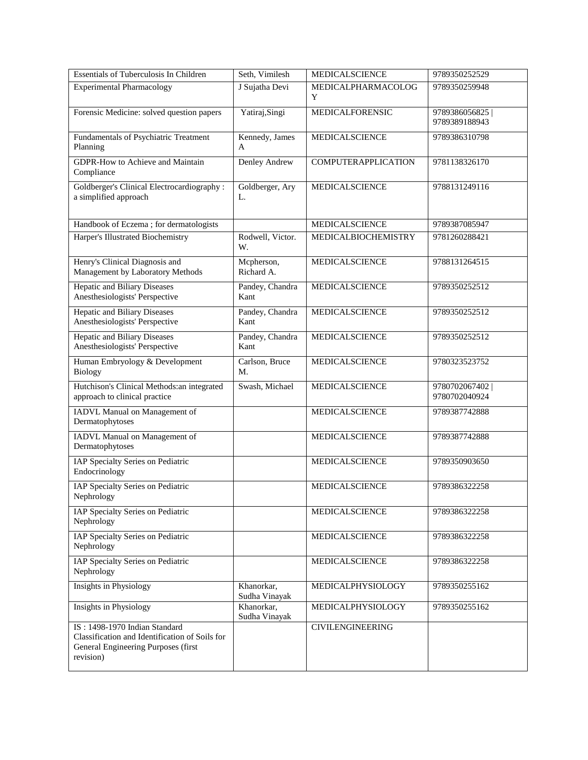| Essentials of Tuberculosis In Children                                                                                              | Seth, Vimilesh              | MEDICALSCIENCE             | 9789350252529                  |
|-------------------------------------------------------------------------------------------------------------------------------------|-----------------------------|----------------------------|--------------------------------|
| <b>Experimental Pharmacology</b>                                                                                                    | J Sujatha Devi              | MEDICALPHARMACOLOG<br>Y    | 9789350259948                  |
| Forensic Medicine: solved question papers                                                                                           | Yatiraj, Singi              | MEDICALFORENSIC            | 9789386056825<br>9789389188943 |
| Fundamentals of Psychiatric Treatment<br>Planning                                                                                   | Kennedy, James<br>A         | MEDICALSCIENCE             | 9789386310798                  |
| <b>GDPR-How to Achieve and Maintain</b><br>Compliance                                                                               | Denley Andrew               | <b>COMPUTERAPPLICATION</b> | 9781138326170                  |
| Goldberger's Clinical Electrocardiography :<br>a simplified approach                                                                | Goldberger, Ary<br>L.       | MEDICALSCIENCE             | 9788131249116                  |
| Handbook of Eczema ; for dermatologists                                                                                             |                             | MEDICALSCIENCE             | 9789387085947                  |
| Harper's Illustrated Biochemistry                                                                                                   | Rodwell, Victor.<br>W.      | MEDICALBIOCHEMISTRY        | 9781260288421                  |
| Henry's Clinical Diagnosis and<br>Management by Laboratory Methods                                                                  | Mcpherson,<br>Richard A.    | MEDICALSCIENCE             | 9788131264515                  |
| <b>Hepatic and Biliary Diseases</b><br>Anesthesiologists' Perspective                                                               | Pandey, Chandra<br>Kant     | <b>MEDICALSCIENCE</b>      | 9789350252512                  |
| <b>Hepatic and Biliary Diseases</b><br>Anesthesiologists' Perspective                                                               | Pandey, Chandra<br>Kant     | MEDICALSCIENCE             | 9789350252512                  |
| <b>Hepatic and Biliary Diseases</b><br>Anesthesiologists' Perspective                                                               | Pandey, Chandra<br>Kant     | MEDICALSCIENCE             | 9789350252512                  |
| Human Embryology & Development<br>Biology                                                                                           | Carlson, Bruce<br>M.        | MEDICALSCIENCE             | 9780323523752                  |
| Hutchison's Clinical Methods: an integrated<br>approach to clinical practice                                                        | Swash, Michael              | MEDICALSCIENCE             | 9780702067402<br>9780702040924 |
| IADVL Manual on Management of<br>Dermatophytoses                                                                                    |                             | MEDICALSCIENCE             | 9789387742888                  |
| IADVL Manual on Management of<br>Dermatophytoses                                                                                    |                             | MEDICALSCIENCE             | 9789387742888                  |
| IAP Specialty Series on Pediatric<br>Endocrinology                                                                                  |                             | MEDICALSCIENCE             | 9789350903650                  |
| IAP Specialty Series on Pediatric<br>Nephrology                                                                                     |                             | MEDICALSCIENCE             | 9789386322258                  |
| IAP Specialty Series on Pediatric<br>Nephrology                                                                                     |                             | <b>MEDICALSCIENCE</b>      | 9789386322258                  |
| IAP Specialty Series on Pediatric<br>Nephrology                                                                                     |                             | MEDICALSCIENCE             | 9789386322258                  |
| IAP Specialty Series on Pediatric<br>Nephrology                                                                                     |                             | MEDICALSCIENCE             | 9789386322258                  |
| <b>Insights in Physiology</b>                                                                                                       | Khanorkar,<br>Sudha Vinayak | MEDICALPHYSIOLOGY          | 9789350255162                  |
| Insights in Physiology                                                                                                              | Khanorkar,<br>Sudha Vinayak | MEDICALPHYSIOLOGY          | 9789350255162                  |
| IS: 1498-1970 Indian Standard<br>Classification and Identification of Soils for<br>General Engineering Purposes (first<br>revision) |                             | <b>CIVILENGINEERING</b>    |                                |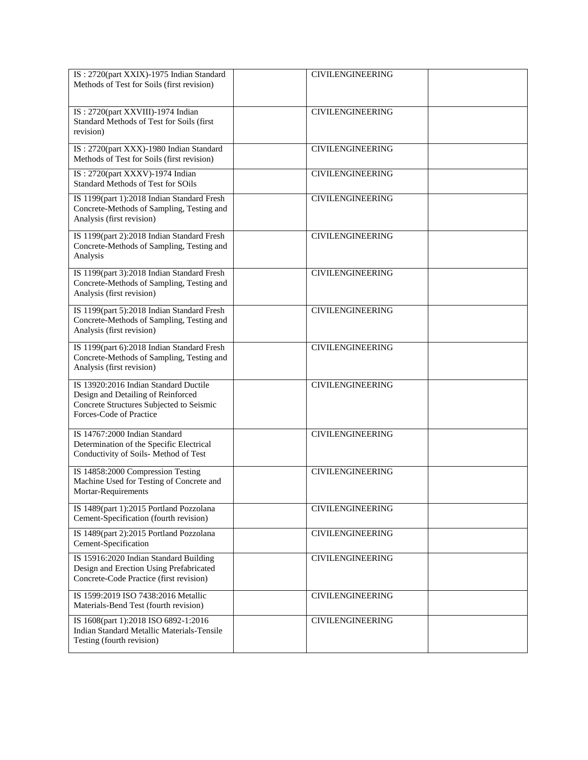| IS: 2720(part XXIX)-1975 Indian Standard<br>Methods of Test for Soils (first revision)                                                             | <b>CIVILENGINEERING</b> |  |
|----------------------------------------------------------------------------------------------------------------------------------------------------|-------------------------|--|
| IS: 2720(part XXVIII)-1974 Indian<br>Standard Methods of Test for Soils (first<br>revision)                                                        | <b>CIVILENGINEERING</b> |  |
| IS: 2720(part XXX)-1980 Indian Standard<br>Methods of Test for Soils (first revision)                                                              | <b>CIVILENGINEERING</b> |  |
| IS: 2720(part XXXV)-1974 Indian<br>Standard Methods of Test for SOils                                                                              | <b>CIVILENGINEERING</b> |  |
| IS 1199(part 1):2018 Indian Standard Fresh<br>Concrete-Methods of Sampling, Testing and<br>Analysis (first revision)                               | <b>CIVILENGINEERING</b> |  |
| IS 1199(part 2):2018 Indian Standard Fresh<br>Concrete-Methods of Sampling, Testing and<br>Analysis                                                | <b>CIVILENGINEERING</b> |  |
| IS 1199(part 3):2018 Indian Standard Fresh<br>Concrete-Methods of Sampling, Testing and<br>Analysis (first revision)                               | <b>CIVILENGINEERING</b> |  |
| IS 1199(part 5):2018 Indian Standard Fresh<br>Concrete-Methods of Sampling, Testing and<br>Analysis (first revision)                               | <b>CIVILENGINEERING</b> |  |
| IS 1199(part 6):2018 Indian Standard Fresh<br>Concrete-Methods of Sampling, Testing and<br>Analysis (first revision)                               | <b>CIVILENGINEERING</b> |  |
| IS 13920:2016 Indian Standard Ductile<br>Design and Detailing of Reinforced<br>Concrete Structures Subjected to Seismic<br>Forces-Code of Practice | <b>CIVILENGINEERING</b> |  |
| IS 14767:2000 Indian Standard<br>Determination of the Specific Electrical<br>Conductivity of Soils- Method of Test                                 | <b>CIVILENGINEERING</b> |  |
| IS 14858:2000 Compression Testing<br>Machine Used for Testing of Concrete and<br>Mortar-Requirements                                               | <b>CIVILENGINEERING</b> |  |
| IS 1489(part 1):2015 Portland Pozzolana<br>Cement-Specification (fourth revision)                                                                  | <b>CIVILENGINEERING</b> |  |
| IS 1489(part 2):2015 Portland Pozzolana<br>Cement-Specification                                                                                    | <b>CIVILENGINEERING</b> |  |
| IS 15916:2020 Indian Standard Building<br>Design and Erection Using Prefabricated<br>Concrete-Code Practice (first revision)                       | <b>CIVILENGINEERING</b> |  |
| IS 1599:2019 ISO 7438:2016 Metallic<br>Materials-Bend Test (fourth revision)                                                                       | <b>CIVILENGINEERING</b> |  |
| IS 1608(part 1):2018 ISO 6892-1:2016<br>Indian Standard Metallic Materials-Tensile<br>Testing (fourth revision)                                    | <b>CIVILENGINEERING</b> |  |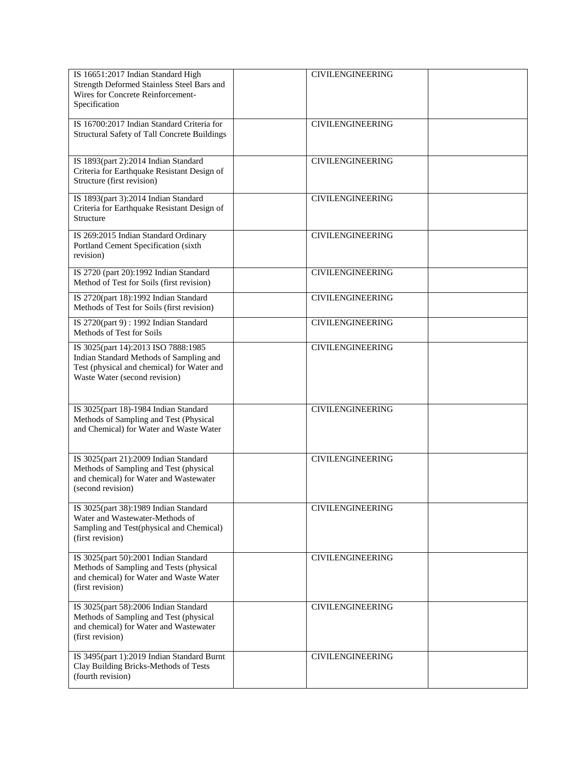| IS 16651:2017 Indian Standard High<br>Strength Deformed Stainless Steel Bars and<br>Wires for Concrete Reinforcement-<br>Specification                        | <b>CIVILENGINEERING</b> |
|---------------------------------------------------------------------------------------------------------------------------------------------------------------|-------------------------|
| IS 16700:2017 Indian Standard Criteria for<br>Structural Safety of Tall Concrete Buildings                                                                    | <b>CIVILENGINEERING</b> |
| IS 1893(part 2):2014 Indian Standard<br>Criteria for Earthquake Resistant Design of<br>Structure (first revision)                                             | <b>CIVILENGINEERING</b> |
| IS 1893(part 3):2014 Indian Standard<br>Criteria for Earthquake Resistant Design of<br>Structure                                                              | <b>CIVILENGINEERING</b> |
| IS 269:2015 Indian Standard Ordinary<br>Portland Cement Specification (sixth<br>revision)                                                                     | <b>CIVILENGINEERING</b> |
| IS 2720 (part 20):1992 Indian Standard<br>Method of Test for Soils (first revision)                                                                           | <b>CIVILENGINEERING</b> |
| IS 2720(part 18):1992 Indian Standard<br>Methods of Test for Soils (first revision)                                                                           | <b>CIVILENGINEERING</b> |
| IS 2720(part 9): 1992 Indian Standard<br>Methods of Test for Soils                                                                                            | <b>CIVILENGINEERING</b> |
| IS 3025(part 14):2013 ISO 7888:1985<br>Indian Standard Methods of Sampling and<br>Test (physical and chemical) for Water and<br>Waste Water (second revision) | <b>CIVILENGINEERING</b> |
| IS 3025(part 18)-1984 Indian Standard<br>Methods of Sampling and Test (Physical<br>and Chemical) for Water and Waste Water                                    | <b>CIVILENGINEERING</b> |
| IS 3025(part 21):2009 Indian Standard<br>Methods of Sampling and Test (physical<br>and chemical) for Water and Wastewater<br>(second revision)                | <b>CIVILENGINEERING</b> |
| IS 3025(part 38):1989 Indian Standard<br>Water and Wastewater-Methods of<br>Sampling and Test(physical and Chemical)<br>(first revision)                      | <b>CIVILENGINEERING</b> |
| IS 3025(part 50):2001 Indian Standard<br>Methods of Sampling and Tests (physical<br>and chemical) for Water and Waste Water<br>(first revision)               | <b>CIVILENGINEERING</b> |
| IS 3025(part 58):2006 Indian Standard<br>Methods of Sampling and Test (physical<br>and chemical) for Water and Wastewater<br>(first revision)                 | <b>CIVILENGINEERING</b> |
| IS 3495(part 1):2019 Indian Standard Burnt<br>Clay Building Bricks-Methods of Tests<br>(fourth revision)                                                      | <b>CIVILENGINEERING</b> |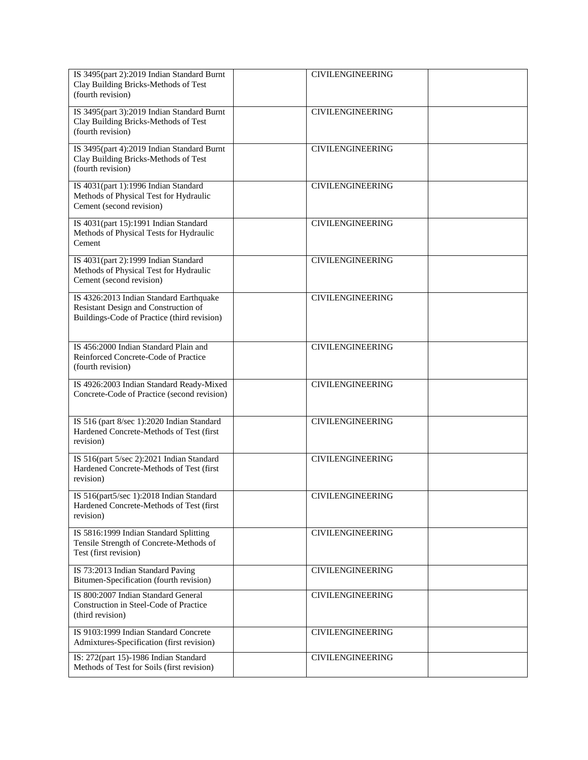| IS 3495(part 2):2019 Indian Standard Burnt<br>Clay Building Bricks-Methods of Test<br>(fourth revision)                        | <b>CIVILENGINEERING</b> |  |
|--------------------------------------------------------------------------------------------------------------------------------|-------------------------|--|
| IS 3495(part 3):2019 Indian Standard Burnt<br>Clay Building Bricks-Methods of Test<br>(fourth revision)                        | <b>CIVILENGINEERING</b> |  |
| IS 3495(part 4):2019 Indian Standard Burnt<br>Clay Building Bricks-Methods of Test<br>(fourth revision)                        | <b>CIVILENGINEERING</b> |  |
| IS 4031(part 1):1996 Indian Standard<br>Methods of Physical Test for Hydraulic<br>Cement (second revision)                     | <b>CIVILENGINEERING</b> |  |
| IS 4031(part 15):1991 Indian Standard<br>Methods of Physical Tests for Hydraulic<br>Cement                                     | <b>CIVILENGINEERING</b> |  |
| IS 4031(part 2):1999 Indian Standard<br>Methods of Physical Test for Hydraulic<br>Cement (second revision)                     | <b>CIVILENGINEERING</b> |  |
| IS 4326:2013 Indian Standard Earthquake<br>Resistant Design and Construction of<br>Buildings-Code of Practice (third revision) | <b>CIVILENGINEERING</b> |  |
| IS 456:2000 Indian Standard Plain and<br>Reinforced Concrete-Code of Practice<br>(fourth revision)                             | <b>CIVILENGINEERING</b> |  |
| IS 4926:2003 Indian Standard Ready-Mixed<br>Concrete-Code of Practice (second revision)                                        | <b>CIVILENGINEERING</b> |  |
| IS 516 (part 8/sec 1):2020 Indian Standard<br>Hardened Concrete-Methods of Test (first<br>revision)                            | <b>CIVILENGINEERING</b> |  |
| IS 516(part 5/sec 2):2021 Indian Standard<br>Hardened Concrete-Methods of Test (first<br>revision)                             | <b>CIVILENGINEERING</b> |  |
| IS 516(part5/sec 1):2018 Indian Standard<br>Hardened Concrete-Methods of Test (first<br>revision)                              | <b>CIVILENGINEERING</b> |  |
| IS 5816:1999 Indian Standard Splitting<br>Tensile Strength of Concrete-Methods of<br>Test (first revision)                     | <b>CIVILENGINEERING</b> |  |
| IS 73:2013 Indian Standard Paving<br>Bitumen-Specification (fourth revision)                                                   | <b>CIVILENGINEERING</b> |  |
| IS 800:2007 Indian Standard General<br>Construction in Steel-Code of Practice<br>(third revision)                              | <b>CIVILENGINEERING</b> |  |
| IS 9103:1999 Indian Standard Concrete<br>Admixtures-Specification (first revision)                                             | <b>CIVILENGINEERING</b> |  |
| IS: 272(part 15)-1986 Indian Standard<br>Methods of Test for Soils (first revision)                                            | <b>CIVILENGINEERING</b> |  |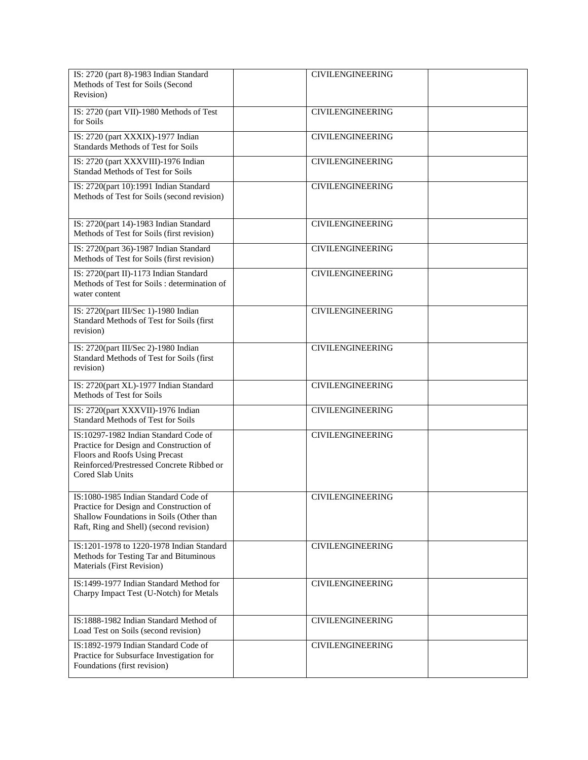| IS: 2720 (part 8)-1983 Indian Standard<br>Methods of Test for Soils (Second<br>Revision)                                                                                            | <b>CIVILENGINEERING</b> |
|-------------------------------------------------------------------------------------------------------------------------------------------------------------------------------------|-------------------------|
| IS: 2720 (part VII)-1980 Methods of Test<br>for Soils                                                                                                                               | <b>CIVILENGINEERING</b> |
| IS: 2720 (part XXXIX)-1977 Indian<br>Standards Methods of Test for Soils                                                                                                            | <b>CIVILENGINEERING</b> |
| IS: 2720 (part XXXVIII)-1976 Indian<br>Standad Methods of Test for Soils                                                                                                            | <b>CIVILENGINEERING</b> |
| IS: 2720(part 10):1991 Indian Standard<br>Methods of Test for Soils (second revision)                                                                                               | <b>CIVILENGINEERING</b> |
| IS: 2720(part 14)-1983 Indian Standard<br>Methods of Test for Soils (first revision)                                                                                                | <b>CIVILENGINEERING</b> |
| IS: 2720(part 36)-1987 Indian Standard<br>Methods of Test for Soils (first revision)                                                                                                | <b>CIVILENGINEERING</b> |
| IS: 2720(part II)-1173 Indian Standard<br>Methods of Test for Soils : determination of<br>water content                                                                             | <b>CIVILENGINEERING</b> |
| IS: 2720(part III/Sec 1)-1980 Indian<br>Standard Methods of Test for Soils (first<br>revision)                                                                                      | <b>CIVILENGINEERING</b> |
| IS: 2720(part III/Sec 2)-1980 Indian<br>Standard Methods of Test for Soils (first<br>revision)                                                                                      | <b>CIVILENGINEERING</b> |
| IS: 2720(part XL)-1977 Indian Standard<br>Methods of Test for Soils                                                                                                                 | <b>CIVILENGINEERING</b> |
| IS: 2720(part XXXVII)-1976 Indian<br><b>Standard Methods of Test for Soils</b>                                                                                                      | <b>CIVILENGINEERING</b> |
| IS:10297-1982 Indian Standard Code of<br>Practice for Design and Construction of<br>Floors and Roofs Using Precast<br>Reinforced/Prestressed Concrete Ribbed or<br>Cored Slab Units | <b>CIVILENGINEERING</b> |
| IS:1080-1985 Indian Standard Code of<br>Practice for Design and Construction of<br>Shallow Foundations in Soils (Other than<br>Raft, Ring and Shell) (second revision)              | <b>CIVILENGINEERING</b> |
| IS:1201-1978 to 1220-1978 Indian Standard<br>Methods for Testing Tar and Bituminous<br>Materials (First Revision)                                                                   | <b>CIVILENGINEERING</b> |
| IS:1499-1977 Indian Standard Method for<br>Charpy Impact Test (U-Notch) for Metals                                                                                                  | <b>CIVILENGINEERING</b> |
| IS:1888-1982 Indian Standard Method of<br>Load Test on Soils (second revision)                                                                                                      | <b>CIVILENGINEERING</b> |
| IS:1892-1979 Indian Standard Code of<br>Practice for Subsurface Investigation for<br>Foundations (first revision)                                                                   | <b>CIVILENGINEERING</b> |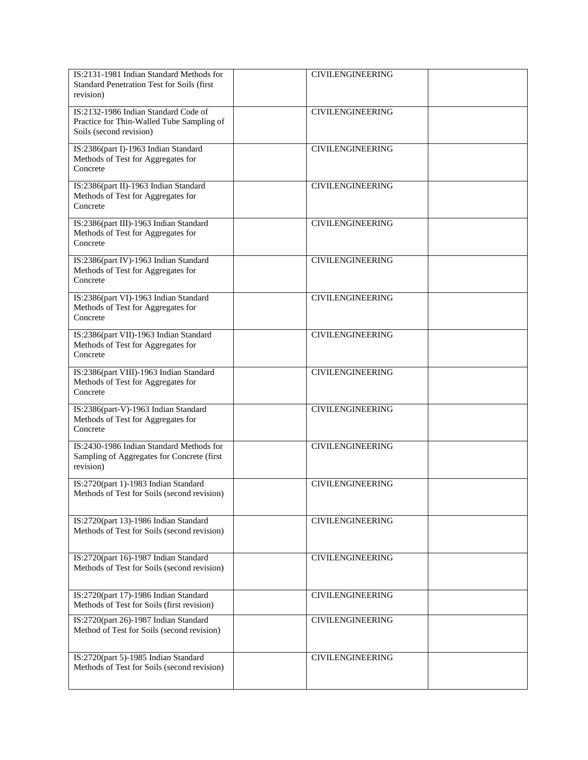| IS:2131-1981 Indian Standard Methods for<br>Standard Penetration Test for Soils (first<br>revision)          | <b>CIVILENGINEERING</b> |
|--------------------------------------------------------------------------------------------------------------|-------------------------|
| IS:2132-1986 Indian Standard Code of<br>Practice for Thin-Walled Tube Sampling of<br>Soils (second revision) | <b>CIVILENGINEERING</b> |
| IS:2386(part I)-1963 Indian Standard<br>Methods of Test for Aggregates for<br>Concrete                       | <b>CIVILENGINEERING</b> |
| IS:2386(part II)-1963 Indian Standard<br>Methods of Test for Aggregates for<br>Concrete                      | <b>CIVILENGINEERING</b> |
| IS:2386(part III)-1963 Indian Standard<br>Methods of Test for Aggregates for<br>Concrete                     | <b>CIVILENGINEERING</b> |
| IS:2386(part IV)-1963 Indian Standard<br>Methods of Test for Aggregates for<br>Concrete                      | <b>CIVILENGINEERING</b> |
| IS:2386(part VI)-1963 Indian Standard<br>Methods of Test for Aggregates for<br>Concrete                      | <b>CIVILENGINEERING</b> |
| IS:2386(part VII)-1963 Indian Standard<br>Methods of Test for Aggregates for<br>Concrete                     | <b>CIVILENGINEERING</b> |
| IS:2386(part VIII)-1963 Indian Standard<br>Methods of Test for Aggregates for<br>Concrete                    | <b>CIVILENGINEERING</b> |
| IS:2386(part-V)-1963 Indian Standard<br>Methods of Test for Aggregates for<br>Concrete                       | <b>CIVILENGINEERING</b> |
| IS:2430-1986 Indian Standard Methods for<br>Sampling of Aggregates for Concrete (first<br>revision)          | <b>CIVILENGINEERING</b> |
| IS:2720(part 1)-1983 Indian Standard<br>Methods of Test for Soils (second revision)                          | <b>CIVILENGINEERING</b> |
| IS:2720(part 13)-1986 Indian Standard<br>Methods of Test for Soils (second revision)                         | <b>CIVILENGINEERING</b> |
| IS:2720(part 16)-1987 Indian Standard<br>Methods of Test for Soils (second revision)                         | <b>CIVILENGINEERING</b> |
| IS:2720(part 17)-1986 Indian Standard<br>Methods of Test for Soils (first revision)                          | <b>CIVILENGINEERING</b> |
| IS:2720(part 26)-1987 Indian Standard<br>Method of Test for Soils (second revision)                          | <b>CIVILENGINEERING</b> |
| IS:2720(part 5)-1985 Indian Standard<br>Methods of Test for Soils (second revision)                          | <b>CIVILENGINEERING</b> |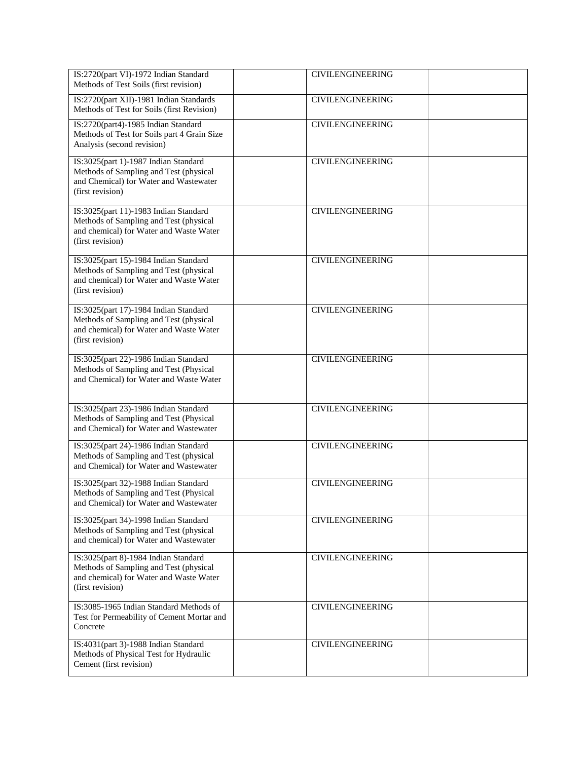| IS:2720(part VI)-1972 Indian Standard<br>Methods of Test Soils (first revision)                                                                | <b>CIVILENGINEERING</b> |  |
|------------------------------------------------------------------------------------------------------------------------------------------------|-------------------------|--|
| IS:2720(part XII)-1981 Indian Standards<br>Methods of Test for Soils (first Revision)                                                          | <b>CIVILENGINEERING</b> |  |
| IS:2720(part4)-1985 Indian Standard<br>Methods of Test for Soils part 4 Grain Size<br>Analysis (second revision)                               | <b>CIVILENGINEERING</b> |  |
| IS:3025(part 1)-1987 Indian Standard<br>Methods of Sampling and Test (physical<br>and Chemical) for Water and Wastewater<br>(first revision)   | <b>CIVILENGINEERING</b> |  |
| IS:3025(part 11)-1983 Indian Standard<br>Methods of Sampling and Test (physical<br>and chemical) for Water and Waste Water<br>(first revision) | <b>CIVILENGINEERING</b> |  |
| IS:3025(part 15)-1984 Indian Standard<br>Methods of Sampling and Test (physical<br>and chemical) for Water and Waste Water<br>(first revision) | <b>CIVILENGINEERING</b> |  |
| IS:3025(part 17)-1984 Indian Standard<br>Methods of Sampling and Test (physical<br>and chemical) for Water and Waste Water<br>(first revision) | <b>CIVILENGINEERING</b> |  |
| IS:3025(part 22)-1986 Indian Standard<br>Methods of Sampling and Test (Physical<br>and Chemical) for Water and Waste Water                     | <b>CIVILENGINEERING</b> |  |
| IS:3025(part 23)-1986 Indian Standard<br>Methods of Sampling and Test (Physical<br>and Chemical) for Water and Wastewater                      | <b>CIVILENGINEERING</b> |  |
| IS:3025(part 24)-1986 Indian Standard<br>Methods of Sampling and Test (physical<br>and Chemical) for Water and Wastewater                      | <b>CIVILENGINEERING</b> |  |
| IS:3025(part 32)-1988 Indian Standard<br>Methods of Sampling and Test (Physical<br>and Chemical) for Water and Wastewater                      | <b>CIVILENGINEERING</b> |  |
| IS:3025(part 34)-1998 Indian Standard<br>Methods of Sampling and Test (physical<br>and chemical) for Water and Wastewater                      | <b>CIVILENGINEERING</b> |  |
| IS:3025(part 8)-1984 Indian Standard<br>Methods of Sampling and Test (physical<br>and chemical) for Water and Waste Water<br>(first revision)  | <b>CIVILENGINEERING</b> |  |
| IS:3085-1965 Indian Standard Methods of<br>Test for Permeability of Cement Mortar and<br>Concrete                                              | <b>CIVILENGINEERING</b> |  |
| IS:4031(part 3)-1988 Indian Standard<br>Methods of Physical Test for Hydraulic<br>Cement (first revision)                                      | <b>CIVILENGINEERING</b> |  |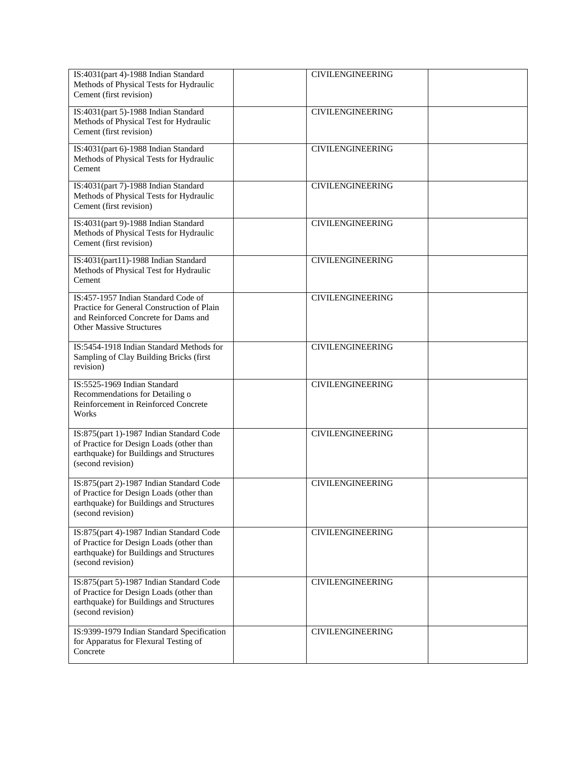| IS:4031(part 4)-1988 Indian Standard<br>Methods of Physical Tests for Hydraulic<br>Cement (first revision)                                                   | <b>CIVILENGINEERING</b> |  |
|--------------------------------------------------------------------------------------------------------------------------------------------------------------|-------------------------|--|
| IS:4031(part 5)-1988 Indian Standard<br>Methods of Physical Test for Hydraulic<br>Cement (first revision)                                                    | <b>CIVILENGINEERING</b> |  |
| IS:4031(part 6)-1988 Indian Standard<br>Methods of Physical Tests for Hydraulic<br>Cement                                                                    | <b>CIVILENGINEERING</b> |  |
| IS:4031(part 7)-1988 Indian Standard<br>Methods of Physical Tests for Hydraulic<br>Cement (first revision)                                                   | <b>CIVILENGINEERING</b> |  |
| IS:4031(part 9)-1988 Indian Standard<br>Methods of Physical Tests for Hydraulic<br>Cement (first revision)                                                   | <b>CIVILENGINEERING</b> |  |
| IS:4031(part11)-1988 Indian Standard<br>Methods of Physical Test for Hydraulic<br>Cement                                                                     | <b>CIVILENGINEERING</b> |  |
| IS:457-1957 Indian Standard Code of<br>Practice for General Construction of Plain<br>and Reinforced Concrete for Dams and<br><b>Other Massive Structures</b> | <b>CIVILENGINEERING</b> |  |
| IS:5454-1918 Indian Standard Methods for<br>Sampling of Clay Building Bricks (first<br>revision)                                                             | <b>CIVILENGINEERING</b> |  |
| IS:5525-1969 Indian Standard<br>Recommendations for Detailing o<br>Reinforcement in Reinforced Concrete<br>Works                                             | <b>CIVILENGINEERING</b> |  |
| IS:875(part 1)-1987 Indian Standard Code<br>of Practice for Design Loads (other than<br>earthquake) for Buildings and Structures<br>(second revision)        | <b>CIVILENGINEERING</b> |  |
| IS:875(part 2)-1987 Indian Standard Code<br>of Practice for Design Loads (other than<br>earthquake) for Buildings and Structures<br>(second revision)        | <b>CIVILENGINEERING</b> |  |
| IS:875(part 4)-1987 Indian Standard Code<br>of Practice for Design Loads (other than<br>earthquake) for Buildings and Structures<br>(second revision)        | <b>CIVILENGINEERING</b> |  |
| IS:875(part 5)-1987 Indian Standard Code<br>of Practice for Design Loads (other than<br>earthquake) for Buildings and Structures<br>(second revision)        | <b>CIVILENGINEERING</b> |  |
| IS:9399-1979 Indian Standard Specification<br>for Apparatus for Flexural Testing of<br>Concrete                                                              | <b>CIVILENGINEERING</b> |  |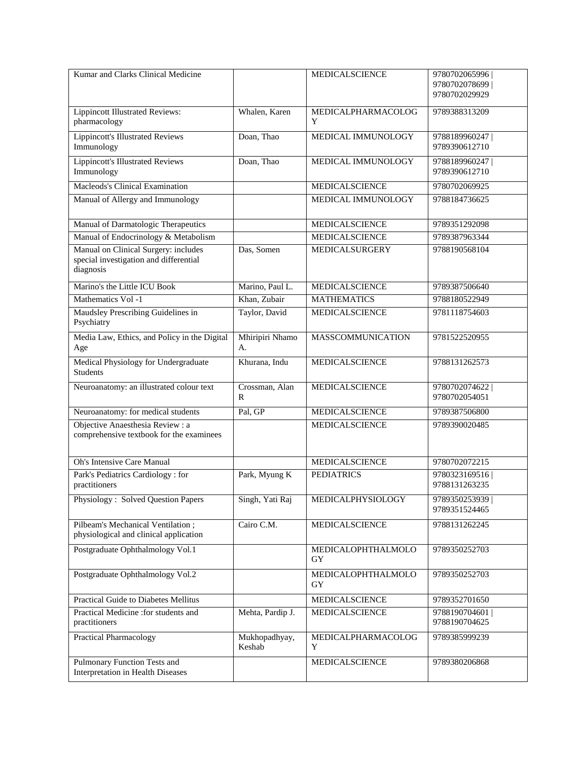| Kumar and Clarks Clinical Medicine                                                          |                         | <b>MEDICALSCIENCE</b>    | 9780702065996                    |
|---------------------------------------------------------------------------------------------|-------------------------|--------------------------|----------------------------------|
|                                                                                             |                         |                          | 9780702078699<br>9780702029929   |
| <b>Lippincott Illustrated Reviews:</b><br>pharmacology                                      | Whalen, Karen           | MEDICALPHARMACOLOG<br>Y  | 9789388313209                    |
| <b>Lippincott's Illustrated Reviews</b><br>Immunology                                       | Doan, Thao              | MEDICAL IMMUNOLOGY       | 9788189960247<br>9789390612710   |
| <b>Lippincott's Illustrated Reviews</b><br>Immunology                                       | Doan, Thao              | MEDICAL IMMUNOLOGY       | 9788189960247  <br>9789390612710 |
| Macleods's Clinical Examination                                                             |                         | <b>MEDICALSCIENCE</b>    | 9780702069925                    |
| Manual of Allergy and Immunology                                                            |                         | MEDICAL IMMUNOLOGY       | 9788184736625                    |
| Manual of Darmatologic Therapeutics                                                         |                         | MEDICALSCIENCE           | 9789351292098                    |
| Manual of Endocrinology & Metabolism                                                        |                         | MEDICALSCIENCE           | 9789387963344                    |
| Manual on Clinical Surgery: includes<br>special investigation and differential<br>diagnosis | Das, Somen              | MEDICALSURGERY           | 9788190568104                    |
| Marino's the Little ICU Book                                                                | Marino, Paul L.         | <b>MEDICALSCIENCE</b>    | 9789387506640                    |
| Mathematics Vol -1                                                                          | Khan, Zubair            | <b>MATHEMATICS</b>       | 9788180522949                    |
| Maudsley Prescribing Guidelines in<br>Psychiatry                                            | Taylor, David           | <b>MEDICALSCIENCE</b>    | 9781118754603                    |
| Media Law, Ethics, and Policy in the Digital<br>Age                                         | Mhiripiri Nhamo<br>A.   | <b>MASSCOMMUNICATION</b> | 9781522520955                    |
| Medical Physiology for Undergraduate<br><b>Students</b>                                     | Khurana, Indu           | MEDICALSCIENCE           | 9788131262573                    |
| Neuroanatomy: an illustrated colour text                                                    | Crossman, Alan<br>R     | <b>MEDICALSCIENCE</b>    | 9780702074622<br>9780702054051   |
| Neuroanatomy: for medical students                                                          | Pal, GP                 | MEDICALSCIENCE           | 9789387506800                    |
| Objective Anaesthesia Review: a<br>comprehensive textbook for the examinees                 |                         | MEDICALSCIENCE           | 9789390020485                    |
| <b>Oh's Intensive Care Manual</b>                                                           |                         | <b>MEDICALSCIENCE</b>    | 9780702072215                    |
| Park's Pediatrics Cardiology: for<br>practitioners                                          | Park, Myung K           | <b>PEDIATRICS</b>        | 9780323169516<br>9788131263235   |
| <b>Physiology: Solved Question Papers</b>                                                   | Singh, Yati Raj         | MEDICALPHYSIOLOGY        | 9789350253939  <br>9789351524465 |
| Pilbeam's Mechanical Ventilation;<br>physiological and clinical application                 | Cairo C.M.              | MEDICALSCIENCE           | 9788131262245                    |
| Postgraduate Ophthalmology Vol.1                                                            |                         | MEDICALOPHTHALMOLO<br>GY | 9789350252703                    |
| Postgraduate Ophthalmology Vol.2                                                            |                         | MEDICALOPHTHALMOLO<br>GY | 9789350252703                    |
| Practical Guide to Diabetes Mellitus                                                        |                         | MEDICALSCIENCE           | 9789352701650                    |
| Practical Medicine :for students and<br>practitioners                                       | Mehta, Pardip J.        | MEDICALSCIENCE           | 9788190704601<br>9788190704625   |
| <b>Practical Pharmacology</b>                                                               | Mukhopadhyay,<br>Keshab | MEDICALPHARMACOLOG<br>Y  | 9789385999239                    |
| Pulmonary Function Tests and<br>Interpretation in Health Diseases                           |                         | MEDICALSCIENCE           | 9789380206868                    |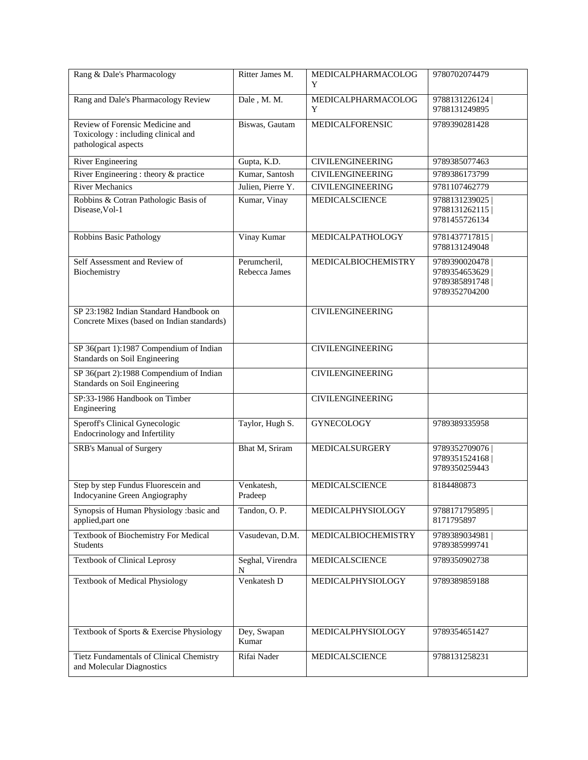| Rang & Dale's Pharmacology                                                                    | Ritter James M.               | MEDICALPHARMACOLOG<br>Y | 9780702074479                                                    |
|-----------------------------------------------------------------------------------------------|-------------------------------|-------------------------|------------------------------------------------------------------|
| Rang and Dale's Pharmacology Review                                                           | Dale, M. M.                   | MEDICALPHARMACOLOG<br>Y | 9788131226124<br>9788131249895                                   |
| Review of Forensic Medicine and<br>Toxicology: including clinical and<br>pathological aspects | Biswas, Gautam                | MEDICALFORENSIC         | 9789390281428                                                    |
| River Engineering                                                                             | Gupta, K.D.                   | <b>CIVILENGINEERING</b> | 9789385077463                                                    |
| River Engineering : theory & practice                                                         | Kumar, Santosh                | <b>CIVILENGINEERING</b> | 9789386173799                                                    |
| <b>River Mechanics</b>                                                                        | Julien, Pierre Y.             | <b>CIVILENGINEERING</b> | 9781107462779                                                    |
| Robbins & Cotran Pathologic Basis of<br>Disease, Vol-1                                        | Kumar, Vinay                  | <b>MEDICALSCIENCE</b>   | 9788131239025<br>9788131262115<br>9781455726134                  |
| Robbins Basic Pathology                                                                       | Vinay Kumar                   | MEDICALPATHOLOGY        | 9781437717815<br>9788131249048                                   |
| Self Assessment and Review of<br>Biochemistry                                                 | Perumcheril,<br>Rebecca James | MEDICALBIOCHEMISTRY     | 9789390020478<br>9789354653629<br>9789385891748<br>9789352704200 |
| SP 23:1982 Indian Standard Handbook on<br>Concrete Mixes (based on Indian standards)          |                               | <b>CIVILENGINEERING</b> |                                                                  |
| SP 36(part 1):1987 Compendium of Indian<br>Standards on Soil Engineering                      |                               | <b>CIVILENGINEERING</b> |                                                                  |
| SP 36(part 2):1988 Compendium of Indian<br>Standards on Soil Engineering                      |                               | <b>CIVILENGINEERING</b> |                                                                  |
| SP:33-1986 Handbook on Timber<br>Engineering                                                  |                               | <b>CIVILENGINEERING</b> |                                                                  |
| Speroff's Clinical Gynecologic<br>Endocrinology and Infertility                               | Taylor, Hugh S.               | <b>GYNECOLOGY</b>       | 9789389335958                                                    |
| <b>SRB's Manual of Surgery</b>                                                                | Bhat M, Sriram                | <b>MEDICALSURGERY</b>   | 9789352709076<br>9789351524168<br>9789350259443                  |
| Step by step Fundus Fluorescein and<br>Indocyanine Green Angiography                          | Venkatesh.<br>Pradeep         | <b>MEDICALSCIENCE</b>   | 8184480873                                                       |
| Synopsis of Human Physiology :basic and<br>applied, part one                                  | Tandon, O.P.                  | MEDICALPHYSIOLOGY       | 9788171795895<br>8171795897                                      |
| Textbook of Biochemistry For Medical<br><b>Students</b>                                       | Vasudevan, D.M.               | MEDICALBIOCHEMISTRY     | 9789389034981<br>9789385999741                                   |
| <b>Textbook of Clinical Leprosy</b>                                                           | Seghal, Virendra<br>N         | MEDICALSCIENCE          | 9789350902738                                                    |
| <b>Textbook of Medical Physiology</b>                                                         | Venkatesh D                   | MEDICALPHYSIOLOGY       | 9789389859188                                                    |
| Textbook of Sports & Exercise Physiology                                                      | Dey, Swapan<br>Kumar          | MEDICALPHYSIOLOGY       | 9789354651427                                                    |
| Tietz Fundamentals of Clinical Chemistry<br>and Molecular Diagnostics                         | Rifai Nader                   | MEDICALSCIENCE          | 9788131258231                                                    |